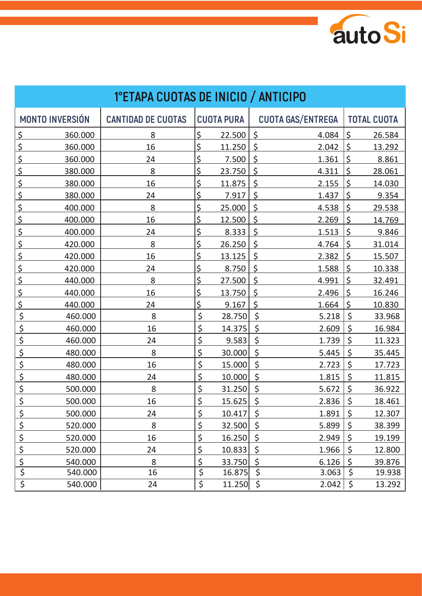

| 1°ETAPA CUOTAS DE INICIO / ANTICIPO |                           |    |                   |                                                |  |  |  |  |
|-------------------------------------|---------------------------|----|-------------------|------------------------------------------------|--|--|--|--|
| <b>MONTO INVERSIÓN</b>              | <b>CANTIDAD DE CUOTAS</b> |    | <b>CUOTA PURA</b> | <b>CUOTA GAS/ENTREGA</b><br><b>TOTAL CUOTA</b> |  |  |  |  |
| <u>\$</u><br>360.000                | 8                         | \$ | 22.500            | \$<br>\$<br>4.084<br>26.584                    |  |  |  |  |
| \$<br>360.000                       | 16                        | \$ | 11.250            | \$<br>\$<br>2.042<br>13.292                    |  |  |  |  |
| \$<br>360.000                       | 24                        | \$ | 7.500             | $\zeta$<br>$\zeta$<br>1.361<br>8.861           |  |  |  |  |
| \$<br>380.000                       | 8                         | \$ | 23.750            | $\zeta$<br>\$<br>4.311<br>28.061               |  |  |  |  |
| \$<br>380.000                       | 16                        | \$ | 11.875            | $\zeta$<br>\$<br>2.155<br>14.030               |  |  |  |  |
| \$<br>380.000                       | 24                        | \$ | 7.917             | $\zeta$<br>\$<br>1.437<br>9.354                |  |  |  |  |
| \$<br>400.000                       | 8                         | \$ | 25.000            | \$<br>\$<br>4.538<br>29.538                    |  |  |  |  |
| \$<br>400.000                       | 16                        | \$ | 12.500            | \$<br>2.269<br>\$<br>14.769                    |  |  |  |  |
| \$<br>400.000                       | 24                        | \$ | 8.333             | \$<br>\$<br>1.513<br>9.846                     |  |  |  |  |
| \$<br>420.000                       | 8                         | \$ | 26.250            | $\zeta$<br>\$<br>4.764<br>31.014               |  |  |  |  |
| \$<br>420.000                       | 16                        | \$ | 13.125            | \$<br>\$<br>2.382<br>15.507                    |  |  |  |  |
| \$<br>420.000                       | 24                        | \$ | 8.750             | \$<br>\$<br>1.588<br>10.338                    |  |  |  |  |
| \$<br>440.000                       | 8                         | \$ | 27.500            | \$<br>\$<br>4.991<br>32.491                    |  |  |  |  |
| \$<br>440.000                       | 16                        | \$ | 13.750            | \$<br>\$<br>2.496<br>16.246                    |  |  |  |  |
| \$<br>440.000                       | 24                        | \$ | 9.167             | \$<br>1.664<br>\$<br>10.830                    |  |  |  |  |
| \$<br>460.000                       | 8                         | \$ | 28.750            | \$<br>\$<br>5.218<br>33.968                    |  |  |  |  |
| \$<br>460.000                       | 16                        | \$ | 14.375            | \$<br>\$<br>2.609<br>16.984                    |  |  |  |  |
| \$<br>460.000                       | 24                        | \$ | 9.583             | \$<br>\$<br>1.739<br>11.323                    |  |  |  |  |
| \$<br>480.000                       | 8                         | \$ | 30.000            | $\zeta$<br>$\zeta$<br>5.445<br>35.445          |  |  |  |  |
| \$<br>480.000                       | 16                        | \$ | 15.000            | $\zeta$<br>\$<br>2.723<br>17.723               |  |  |  |  |
| \$<br>480.000                       | 24                        | \$ | 10.000            | \$<br>\$<br>1.815<br>11.815                    |  |  |  |  |
| \$<br>500.000                       | 8                         | \$ | 31.250            | \$<br>\$<br>5.672<br>36.922                    |  |  |  |  |
| $\overline{\mathsf{S}}$<br>500.000  | 16                        | \$ | 15.625            | \$<br>\$<br>2.836<br>18.461                    |  |  |  |  |
| <u>\$</u><br>500.000                | 24                        | \$ | 10.417            | \$<br>\$<br>1.891<br>12.307                    |  |  |  |  |
| 520.000                             | 8                         | \$ | 32.500            | \$<br>\$<br>5.899<br>38.399                    |  |  |  |  |
| $rac{5}{5}$<br>520.000              | 16                        | \$ | 16.250            | \$<br>\$<br>2.949<br>19.199                    |  |  |  |  |
| $rac{5}{5}$<br>520.000              | 24                        | \$ | 10.833            | \$<br>\$<br>1.966<br>12.800                    |  |  |  |  |
| 540.000                             | 8                         | \$ | 33.750            | \$<br>\$<br>6.126<br>39.876                    |  |  |  |  |
| 540.000                             | 16                        | \$ | 16.875            | \$<br>\$<br>3.063<br>19.938                    |  |  |  |  |
| $\overline{\xi}$<br>540.000         | 24                        | \$ | 11.250            | \$<br>2.042<br>$\zeta$<br>13.292               |  |  |  |  |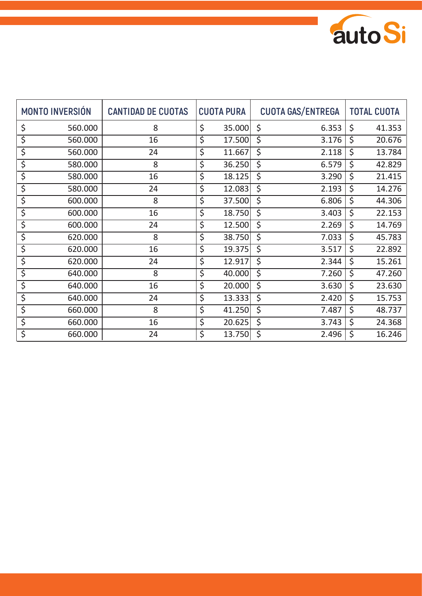

| <b>MONTO INVERSIÓN</b>          |         | <b>CANTIDAD DE CUOTAS</b> | <b>CUOTA PURA</b> |        | <b>CUOTA GAS/ENTREGA</b>        |    | <b>TOTAL CUOTA</b> |  |
|---------------------------------|---------|---------------------------|-------------------|--------|---------------------------------|----|--------------------|--|
| \$                              | 560.000 | 8                         | \$                | 35.000 | \$<br>6.353                     | \$ | 41.353             |  |
| \$                              | 560.000 | 16                        | \$                | 17.500 | \$<br>3.176                     | \$ | 20.676             |  |
| $\overline{\boldsymbol{\zeta}}$ | 560.000 | 24                        | \$                | 11.667 | \$<br>2.118                     | \$ | 13.784             |  |
| \$                              | 580.000 | 8                         | \$                | 36.250 | \$<br>6.579                     | \$ | 42.829             |  |
| $\overline{\varsigma}$          | 580.000 | 16                        | \$                | 18.125 | \$<br>3.290                     | \$ | 21.415             |  |
| \$                              | 580.000 | 24                        | \$                | 12.083 | $\overline{\varsigma}$<br>2.193 | \$ | 14.276             |  |
| \$                              | 600.000 | 8                         | \$                | 37.500 | $\overline{\xi}$<br>6.806       | \$ | 44.306             |  |
| \$                              | 600.000 | 16                        | \$                | 18.750 | \$<br>3.403                     | \$ | 22.153             |  |
| \$                              | 600.000 | 24                        | \$                | 12.500 | \$<br>2.269                     | \$ | 14.769             |  |
| \$                              | 620.000 | 8                         | \$                | 38.750 | \$<br>7.033                     | \$ | 45.783             |  |
| \$                              | 620.000 | 16                        | \$                | 19.375 | \$<br>3.517                     | \$ | 22.892             |  |
| \$                              | 620.000 | 24                        | \$                | 12.917 | \$<br>2.344                     | \$ | 15.261             |  |
| \$                              | 640.000 | 8                         | \$                | 40.000 | \$<br>7.260                     | \$ | 47.260             |  |
| \$                              | 640.000 | 16                        | \$                | 20.000 | \$<br>3.630                     | \$ | 23.630             |  |
| \$                              | 640.000 | 24                        | \$                | 13.333 | \$<br>2.420                     | \$ | 15.753             |  |
| \$                              | 660.000 | 8                         | \$                | 41.250 | \$<br>7.487                     | \$ | 48.737             |  |
| \$                              | 660.000 | 16                        | \$                | 20.625 | \$<br>3.743                     | \$ | 24.368             |  |
| \$                              | 660.000 | 24                        | \$                | 13.750 | \$<br>2.496                     | \$ | 16.246             |  |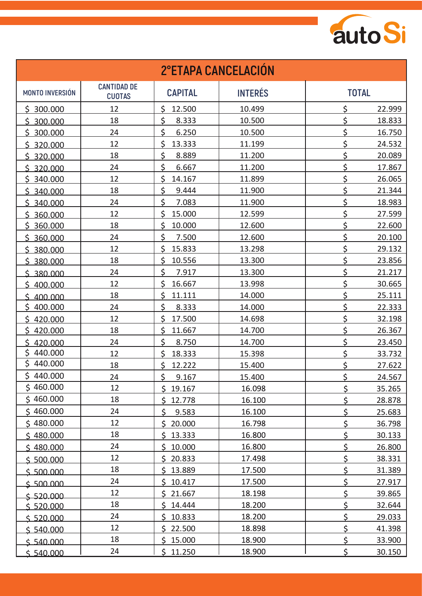

| <b>2°ETAPA CANCELACIÓN</b> |                                     |                   |                |                  |  |  |  |
|----------------------------|-------------------------------------|-------------------|----------------|------------------|--|--|--|
| <b>MONTO INVERSIÓN</b>     | <b>CANTIDAD DE</b><br><b>CUOTAS</b> | <b>CAPITAL</b>    | <b>INTERÉS</b> | <b>TOTAL</b>     |  |  |  |
| \$300.000                  | 12                                  | \$<br>12.500      | 10.499         | \$<br>22.999     |  |  |  |
| 300.000<br>\$              | 18                                  | \$<br>8.333       | 10.500         | \$<br>18.833     |  |  |  |
| \$300.000                  | 24                                  | \$<br>6.250       | 10.500         | \$<br>16.750     |  |  |  |
| \$ 320,000                 | 12                                  | \$<br>13.333      | 11.199         | \$<br>24.532     |  |  |  |
| \$320.000                  | 18                                  | \$<br>8.889       | 11.200         | \$<br>20.089     |  |  |  |
| \$320.000                  | 24                                  | \$<br>6.667       | 11.200         | \$<br>17.867     |  |  |  |
| \$340.000                  | 12                                  | \$<br>14.167      | 11.899         | \$<br>26.065     |  |  |  |
| \$340.000                  | 18                                  | \$<br>9.444       | 11.900         | \$<br>21.344     |  |  |  |
| \$340.000                  | 24                                  | \$<br>7.083       | 11.900         | \$<br>18.983     |  |  |  |
| \$360.000                  | 12                                  | \$<br>15.000      | 12.599         | \$<br>27.599     |  |  |  |
| \$360.000                  | 18                                  | \$<br>10.000      | 12.600         | \$<br>22.600     |  |  |  |
| \$360.000                  | 24                                  | \$<br>7.500       | 12.600         | \$<br>20.100     |  |  |  |
| \$380.000                  | 12                                  | \$<br>15.833      | 13.298         | \$<br>29.132     |  |  |  |
| \$380.000                  | 18                                  | \$<br>10.556      | 13.300         | \$<br>23.856     |  |  |  |
| \$ 380,000                 | 24                                  | \$<br>7.917       | 13.300         | \$<br>21.217     |  |  |  |
| \$400.000                  | 12                                  | \$<br>16.667      | 13.998         | \$<br>30.665     |  |  |  |
| \$400.000                  | 18                                  | \$<br>11.111      | 14.000         | \$<br>25.111     |  |  |  |
| \$<br>400.000              | 24                                  | \$<br>8.333       | 14.000         | \$<br>22.333     |  |  |  |
| \$420.000                  | 12                                  | $\zeta$<br>17.500 | 14.698         | \$<br>32.198     |  |  |  |
| \$<br>420.000              | 18                                  | \$<br>11.667      | 14.700         | \$<br>26.367     |  |  |  |
| 420.000<br>Ś.              | 24                                  | \$<br>8.750       | 14.700         | \$<br>23.450     |  |  |  |
| \$<br>440.000              | 12                                  | \$<br>18.333      | 15.398         | \$<br>33.732     |  |  |  |
| \$<br>440.000              | 18                                  | \$<br>12.222      | 15.400         | \$<br>27.622     |  |  |  |
| \$440.000                  | 24                                  | ÷<br>9.167<br>Ş.  | 15.400         | А<br>24.567<br>→ |  |  |  |
| \$460.000                  | 12                                  | 19.167<br>\$.     | 16.098         | \$<br>35.265     |  |  |  |
| \$460.000                  | 18                                  | 12.778<br>\$.     | 16.100         | \$<br>28.878     |  |  |  |
| \$460.000                  | 24                                  | \$<br>9.583       | 16.100         | \$<br>25.683     |  |  |  |
| \$480.000                  | 12                                  | Ś.<br>20.000      | 16.798         | \$<br>36.798     |  |  |  |
| \$480.000                  | 18                                  | \$<br>13.333      | 16.800         | \$<br>30.133     |  |  |  |
| \$480.000                  | 24                                  | \$.<br>10.000     | 16.800         | \$<br>26.800     |  |  |  |
| \$500.000                  | 12                                  | \$20.833          | 17.498         | \$<br>38.331     |  |  |  |
| \$500.000                  | 18                                  | 13.889<br>\$.     | 17.500         | \$<br>31.389     |  |  |  |
| \$500.000                  | 24                                  | \$<br>10.417      | 17.500         | \$<br>27.917     |  |  |  |
| \$520.000                  | 12                                  | 21.667<br>\$.     | 18.198         | \$<br>39.865     |  |  |  |
| \$520.000                  | 18                                  | \$<br>14.444      | 18.200         | \$<br>32.644     |  |  |  |
| \$520.000                  | 24                                  | \$<br>10.833      | 18.200         | \$<br>29.033     |  |  |  |
| \$540.000                  | 12                                  | 22.500<br>\$      | 18.898         | \$<br>41.398     |  |  |  |
| \$540.000                  | 18                                  | \$15.000          | 18.900         | \$<br>33.900     |  |  |  |
| \$540.000                  | 24                                  | \$11.250          | 18.900         | \$<br>30.150     |  |  |  |